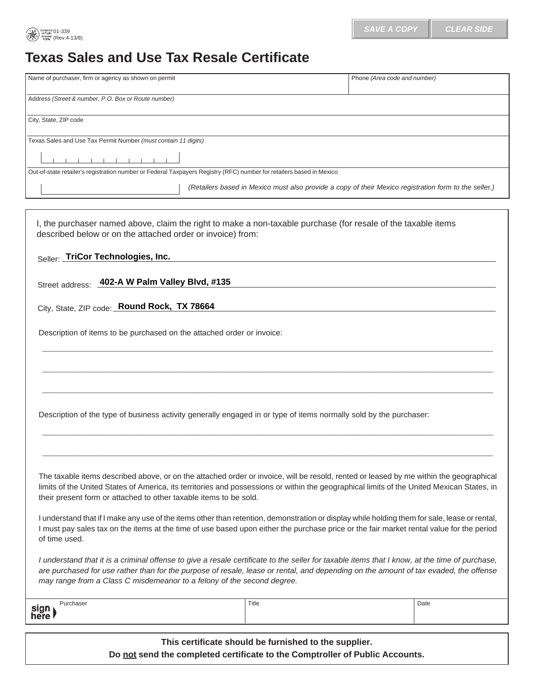## **Texas Sales and Use Tax Resale Certificate**

| Comptralier 01-339<br>Accounts<br>FORM (Rev.4-13/8)                                                                                                                         | <b>SAVE A COPY</b> | <b>CLEAR SIDE</b>            |  |
|-----------------------------------------------------------------------------------------------------------------------------------------------------------------------------|--------------------|------------------------------|--|
| <b>Texas Sales and Use Tax Resale Certificate</b>                                                                                                                           |                    |                              |  |
| Name of purchaser, firm or agency as shown on permit                                                                                                                        |                    | Phone (Area code and number) |  |
| Address (Street & number, P.O. Box or Route number)                                                                                                                         |                    |                              |  |
| City, State, ZIP code                                                                                                                                                       |                    |                              |  |
| Texas Sales and Use Tax Permit Number (must contain 11 digits)                                                                                                              |                    |                              |  |
|                                                                                                                                                                             |                    |                              |  |
| Out-of-state retailer's registration number or Federal Taxpayers Registry (RFC) number for retailers based in Mexico                                                        |                    |                              |  |
| (Retailers based in Mexico must also provide a copy of their Mexico registration form to the seller.)                                                                       |                    |                              |  |
|                                                                                                                                                                             |                    |                              |  |
| I, the purchaser named above, claim the right to make a non-taxable purchase (for resale of the taxable items<br>described below or on the attached order or invoice) from: |                    |                              |  |
| Seller: TriCor Technologies, Inc.                                                                                                                                           |                    |                              |  |
| Street address: 402-A W Palm Valley Blvd, #135                                                                                                                              |                    |                              |  |
| City, State, ZIP code: Round Rock, TX 78664                                                                                                                                 |                    |                              |  |
| Description of items to be purchased on the attached order or invoice:                                                                                                      |                    |                              |  |
|                                                                                                                                                                             |                    |                              |  |
|                                                                                                                                                                             |                    |                              |  |
|                                                                                                                                                                             |                    |                              |  |

Description of the type of business activity generally engaged in or type of items normally sold by the purchaser:

The taxable items described above, or on the attached order or invoice, will be resold, rented or leased by me within the geographical limits of the United States of America, its territories and possessions or within the geographical limits of the United Mexican States, in their present form or attached to other taxable items to be sold.

**\_\_\_\_\_\_\_\_\_\_\_\_\_\_\_\_\_\_\_\_\_\_\_\_\_\_\_\_\_\_\_\_\_\_\_\_\_\_\_\_\_\_\_\_\_\_\_\_\_\_\_\_\_\_\_\_\_\_\_\_\_\_\_\_\_\_\_\_\_\_\_\_\_\_\_\_\_\_\_\_\_\_\_\_\_\_\_\_\_\_\_\_\_** 

**\_\_\_\_\_\_\_\_\_\_\_\_\_\_\_\_\_\_\_\_\_\_\_\_\_\_\_\_\_\_\_\_\_\_\_\_\_\_\_\_\_\_\_\_\_\_\_\_\_\_\_\_\_\_\_\_\_\_\_\_\_\_\_\_\_\_\_\_\_\_\_\_\_\_\_\_\_\_\_\_\_\_\_\_\_\_\_\_\_\_\_\_\_**

I understand that if I make any use of the items other than retention, demonstration or display while holding them for sale, lease or rental, I must pay sales tax on the items at the time of use based upon either the purchase price or the fair market rental value for the period of time used.

*I understand that it is a criminal offense to give a resale certificate to the seller for taxable items that I know, at the time of purchase, are purchased for use rather than for the purpose of resale, lease or rental, and depending on the amount of tax evaded, the offense may range from a Class C misdemeanor to a felony of the second degree.* 

| 7.17000000<br>siar. | Title | Date |
|---------------------|-------|------|
| here                |       |      |

**This certificate should be furnished to the supplier. Do not send the completed certificate to the Comptroller of Public Accounts.**